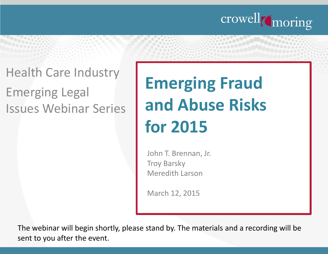

### Health Care Industry

Emerging Legal Issues Webinar Series

# **Emerging Fraud and Abuse Risks for 2015**

John T. Brennan, Jr. Troy Barsky Meredith Larson

March 12, 2015

The webinar will begin shortly, please stand by. The materials and a recording will be sent to you after the event.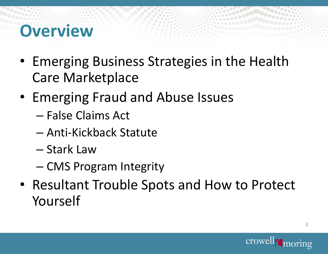### **Overview**

- Emerging Business Strategies in the Health Care Marketplace
- Emerging Fraud and Abuse Issues
	- False Claims Act
	- Anti-Kickback Statute
	- Stark Law
	- CMS Program Integrity
- Resultant Trouble Spots and How to Protect Yourself

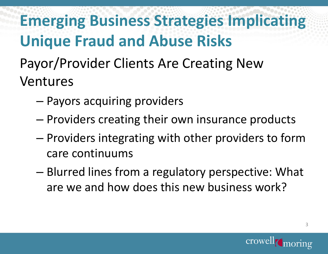**Emerging Business Strategies Implicating Unique Fraud and Abuse Risks**

- Payor/Provider Clients Are Creating New Ventures
	- Payors acquiring providers
	- Providers creating their own insurance products
	- Providers integrating with other providers to form care continuums
	- Blurred lines from a regulatory perspective: What are we and how does this new business work?

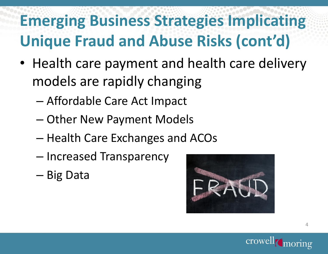### **Emerging Business Strategies Implicating Unique Fraud and Abuse Risks (cont'd)**

- Health care payment and health care delivery models are rapidly changing
	- Affordable Care Act Impact
	- Other New Payment Models
	- Health Care Exchanges and ACOs
	- Increased Transparency
	- Big Data



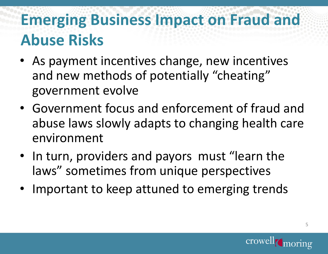### **Emerging Business Impact on Fraud and Abuse Risks**

- As payment incentives change, new incentives and new methods of potentially "cheating" government evolve
- Government focus and enforcement of fraud and abuse laws slowly adapts to changing health care environment
- In turn, providers and payors must "learn the laws" sometimes from unique perspectives
- Important to keep attuned to emerging trends

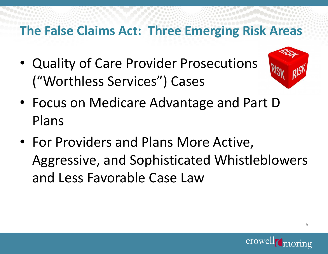### **The False Claims Act: Three Emerging Risk Areas**

• Quality of Care Provider Prosecutions ("Worthless Services") Cases



- Focus on Medicare Advantage and Part D Plans
- For Providers and Plans More Active, Aggressive, and Sophisticated Whistleblowers and Less Favorable Case Law

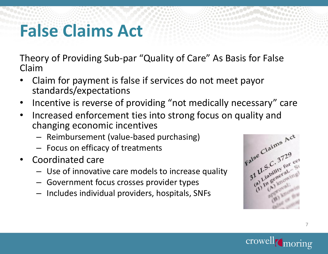### **False Claims Act**

Theory of Providing Sub-par "Quality of Care" As Basis for False Claim

- Claim for payment is false if services do not meet payor standards/expectations
- Incentive is reverse of providing "not medically necessary" care
- Increased enforcement ties into strong focus on quality and changing economic incentives
	- Reimbursement (value-based purchasing)
	- Focus on efficacy of treatments
- Coordinated care
	- Use of innovative care models to increase quality
	- Government focus crosses provider types
	- Includes individual providers, hospitals, SNFs



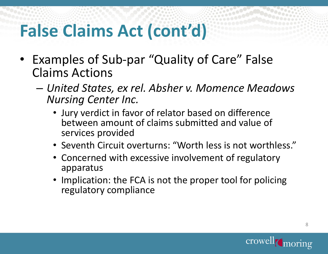### **False Claims Act (cont'd)**

- Examples of Sub-par "Quality of Care" False Claims Actions
	- *United States, ex rel. Absher v. Momence Meadows Nursing Center Inc.*
		- Jury verdict in favor of relator based on difference between amount of claims submitted and value of services provided
		- Seventh Circuit overturns: "Worth less is not worthless."
		- Concerned with excessive involvement of regulatory apparatus
		- Implication: the FCA is not the proper tool for policing regulatory compliance

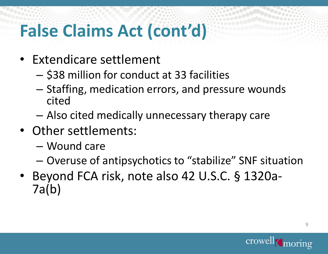### **False Claims Act (cont'd)**

- Extendicare settlement
	- \$38 million for conduct at 33 facilities
	- Staffing, medication errors, and pressure wounds cited
	- Also cited medically unnecessary therapy care
- Other settlements:
	- Wound care
	- Overuse of antipsychotics to "stabilize" SNF situation
- Beyond FCA risk, note also 42 U.S.C. § 1320a-7a(b)

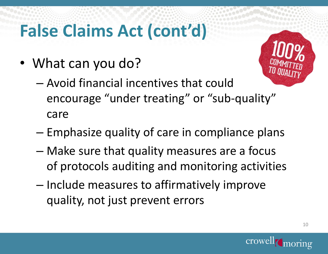## **False Claims Act (cont'd)**

• What can you do?



- Avoid financial incentives that could encourage "under treating" or "sub-quality" care
- Emphasize quality of care in compliance plans
- Make sure that quality measures are a focus of protocols auditing and monitoring activities
- Include measures to affirmatively improve quality, not just prevent errors

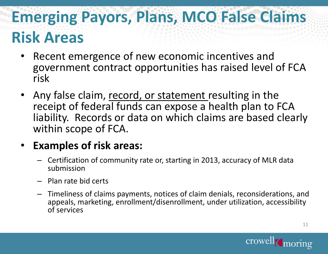### **Emerging Payors, Plans, MCO False Claims Risk Areas**

- Recent emergence of new economic incentives and government contract opportunities has raised level of FCA risk
- Any false claim, record, or statement resulting in the receipt of federal funds can expose a health plan to FCA liability. Records or data on which claims are based clearly within scope of FCA.

### • **Examples of risk areas:**

- Certification of community rate or, starting in 2013, accuracy of MLR data submission
- Plan rate bid certs
- Timeliness of claims payments, notices of claim denials, reconsiderations, and appeals, marketing, enrollment/disenrollment, under utilization, accessibility of services

11

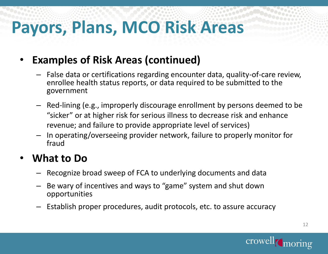## **Payors, Plans, MCO Risk Areas**

### • **Examples of Risk Areas (continued)**

- False data or certifications regarding encounter data, quality-of-care review, enrollee health status reports, or data required to be submitted to the government
- Red-lining (e.g., improperly discourage enrollment by persons deemed to be "sicker" or at higher risk for serious illness to decrease risk and enhance revenue; and failure to provide appropriate level of services)
- In operating/overseeing provider network, failure to properly monitor for fraud

#### • **What to Do**

- Recognize broad sweep of FCA to underlying documents and data
- Be wary of incentives and ways to "game" system and shut down opportunities
- Establish proper procedures, audit protocols, etc. to assure accuracy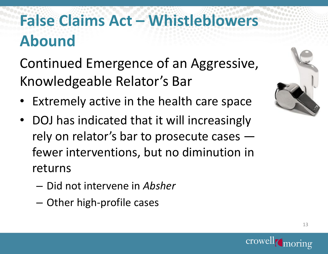### **False Claims Act – Whistleblowers Abound**

Continued Emergence of an Aggressive, Knowledgeable Relator's Bar

- Extremely active in the health care space
- DOJ has indicated that it will increasingly rely on relator's bar to prosecute cases – fewer interventions, but no diminution in returns
	- Did not intervene in *Absher*
	- Other high-profile cases



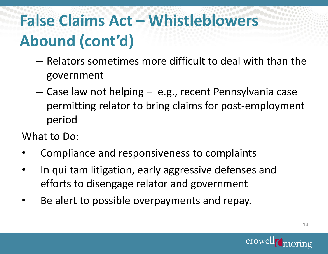### **False Claims Act – Whistleblowers Abound (cont'd)**

- Relators sometimes more difficult to deal with than the government
- Case law not helping e.g., recent Pennsylvania case permitting relator to bring claims for post-employment period

What to Do:

- Compliance and responsiveness to complaints
- In qui tam litigation, early aggressive defenses and efforts to disengage relator and government
- Be alert to possible overpayments and repay.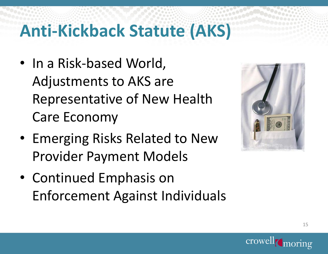### **Anti-Kickback Statute (AKS)**

- In a Risk-based World, Adjustments to AKS are Representative of New Health Care Economy
- Emerging Risks Related to New Provider Payment Models
- Continued Emphasis on Enforcement Against Individuals



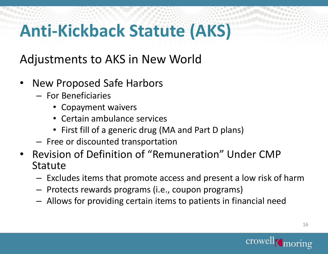## **Anti-Kickback Statute (AKS)**

Adjustments to AKS in New World

- New Proposed Safe Harbors
	- For Beneficiaries
		- Copayment waivers
		- Certain ambulance services
		- First fill of a generic drug (MA and Part D plans)
	- Free or discounted transportation
- Revision of Definition of "Remuneration" Under CMP **Statute** 
	- Excludes items that promote access and present a low risk of harm
	- Protects rewards programs (i.e., coupon programs)
	- Allows for providing certain items to patients in financial need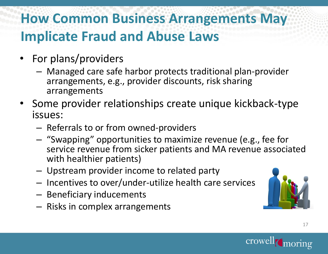### **How Common Business Arrangements May Implicate Fraud and Abuse Laws**

- For plans/providers
	- Managed care safe harbor protects traditional plan-provider arrangements, e.g., provider discounts, risk sharing arrangements
- Some provider relationships create unique kickback-type issues:
	- Referrals to or from owned-providers
	- "Swapping" opportunities to maximize revenue (e.g., fee for service revenue from sicker patients and MA revenue associated with healthier patients)
	- Upstream provider income to related party
	- Incentives to over/under-utilize health care services
	- Beneficiary inducements
	- Risks in complex arrangements

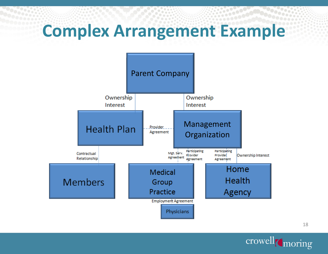### **Complex Arrangement Example**





18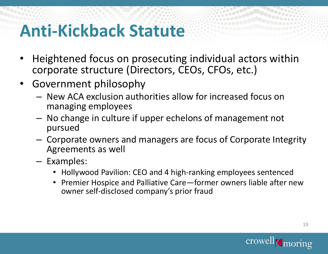### **Anti-Kickback Statute**

- Heightened focus on prosecuting individual actors within corporate structure (Directors, CEOs, CFOs, etc.)
- Government philosophy
	- New ACA exclusion authorities allow for increased focus on managing employees
	- No change in culture if upper echelons of management not pursued
	- Corporate owners and managers are focus of Corporate Integrity Agreements as well
	- Examples:
		- Hollywood Pavilion: CEO and 4 high-ranking employees sentenced
		- Premier Hospice and Palliative Care—former owners liable after new owner self-disclosed company's prior fraud

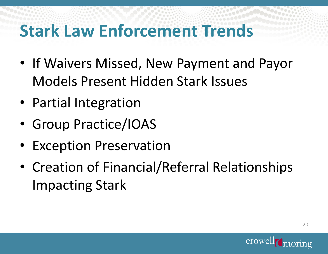### **Stark Law Enforcement Trends**

- If Waivers Missed, New Payment and Payor Models Present Hidden Stark Issues
- Partial Integration
- Group Practice/IOAS
- Exception Preservation
- Creation of Financial/Referral Relationships Impacting Stark

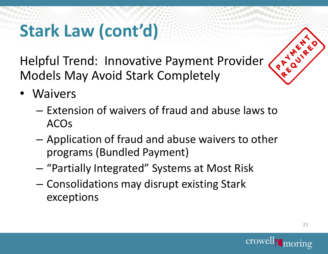Helpful Trend: Innovative Payment Provider Models May Avoid Stark Completely

- Waivers
	- Extension of waivers of fraud and abuse laws to ACOs
	- Application of fraud and abuse waivers to other programs (Bundled Payment)
	- "Partially Integrated" Systems at Most Risk
	- Consolidations may disrupt existing Stark exceptions



P T M V R E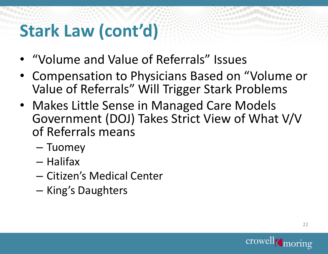- "Volume and Value of Referrals" Issues
- Compensation to Physicians Based on "Volume or Value of Referrals" Will Trigger Stark Problems
- Makes Little Sense in Managed Care Models Government (DOJ) Takes Strict View of What V/V of Referrals means
	- Tuomey
	- Halifax
	- Citizen's Medical Center
	- King's Daughters

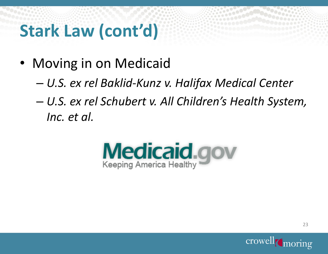- Moving in on Medicaid
	- *U.S. ex rel Baklid-Kunz v. Halifax Medical Center*
	- *U.S. ex rel Schubert v. All Children's Health System, Inc. et al.*



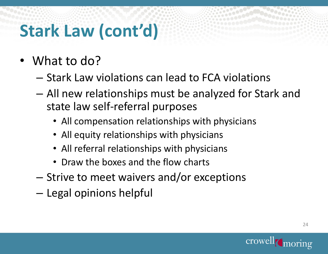- What to do?
	- Stark Law violations can lead to FCA violations
	- All new relationships must be analyzed for Stark and state law self-referral purposes
		- All compensation relationships with physicians
		- All equity relationships with physicians
		- All referral relationships with physicians
		- Draw the boxes and the flow charts
	- Strive to meet waivers and/or exceptions
	- Legal opinions helpful

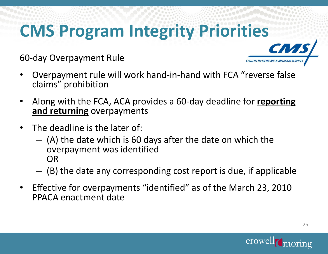## **CMS Program Integrity Priori[ties](http://www.google.com/url?sa=i&rct=j&q=&esrc=s&frm=1&source=images&cd=&cad=rja&uact=8&ved=0CAcQjRw&url=http://ghca.info/2015/01/cms-issues-revised-guidance-at-f155/&ei=_7kBVa2mJKSwsAS6hoCYBg&bvm=bv.87920726,d.cWc&psig=AFQjCNGvGkSIEgD75tzmZcd9H8Bb9OmrbQ&ust=1426262839941749)**

60-day Overpayment Rule

- Overpayment rule will work hand-in-hand with FCA "reverse false claims" prohibition
- Along with the FCA, ACA provides a 60-day deadline for **reporting and returning** overpayments
- The deadline is the later of:
	- (A) the date which is 60 days after the date on which the overpayment was identified OR
	- (B) the date any corresponding cost report is due, if applicable
- Effective for overpayments "identified" as of the March 23, 2010 PPACA enactment date





**CENTERS for MEDICARE & M** 

25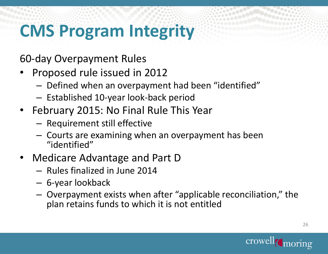### **CMS Program Integrity**

60-day Overpayment Rules

- Proposed rule issued in 2012
	- Defined when an overpayment had been "identified"
	- Established 10-year look-back period
- February 2015: No Final Rule This Year
	- Requirement still effective
	- Courts are examining when an overpayment has been "identified"
- Medicare Advantage and Part D
	- Rules finalized in June 2014
	- 6-year lookback
	- Overpayment exists when after "applicable reconciliation," the plan retains funds to which it is not entitled

26

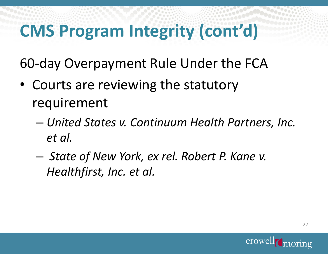## **CMS Program Integrity (cont'd)**

60-day Overpayment Rule Under the FCA

- Courts are reviewing the statutory requirement
	- *United States v. Continuum Health Partners, Inc. et al.*
	- *State of New York, ex rel. Robert P. Kane v. Healthfirst, Inc. et al.*

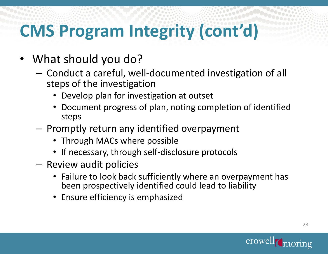## **CMS Program Integrity (cont'd)**

- What should you do?
	- Conduct a careful, well-documented investigation of all steps of the investigation
		- Develop plan for investigation at outset
		- Document progress of plan, noting completion of identified steps
	- Promptly return any identified overpayment
		- Through MACs where possible
		- If necessary, through self-disclosure protocols
	- Review audit policies
		- Failure to look back sufficiently where an overpayment has been prospectively identified could lead to liability
		- Ensure efficiency is emphasized

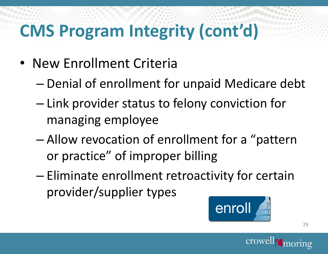## **CMS Program Integrity (cont'd)**

- New Enrollment Criteria
	- Denial of enrollment for unpaid Medicare debt
	- Link provider status to felony conviction for managing employee
	- Allow revocation of enrollment for a "pattern or practice" of improper billing
	- Eliminate enrollment retroactivity for certain provider/supplier types



29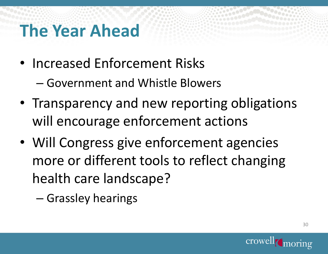### **The Year Ahead**

- Increased Enforcement Risks
	- Government and Whistle Blowers
- Transparency and new reporting obligations will encourage enforcement actions
- Will Congress give enforcement agencies more or different tools to reflect changing health care landscape?

– Grassley hearings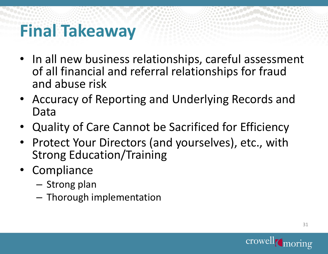### **Final Takeaway**

- In all new business relationships, careful assessment of all financial and referral relationships for fraud and abuse risk
- Accuracy of Reporting and Underlying Records and Data
- Quality of Care Cannot be Sacrificed for Efficiency
- Protect Your Directors (and yourselves), etc., with Strong Education/Training
- Compliance
	- Strong plan
	- Thorough implementation